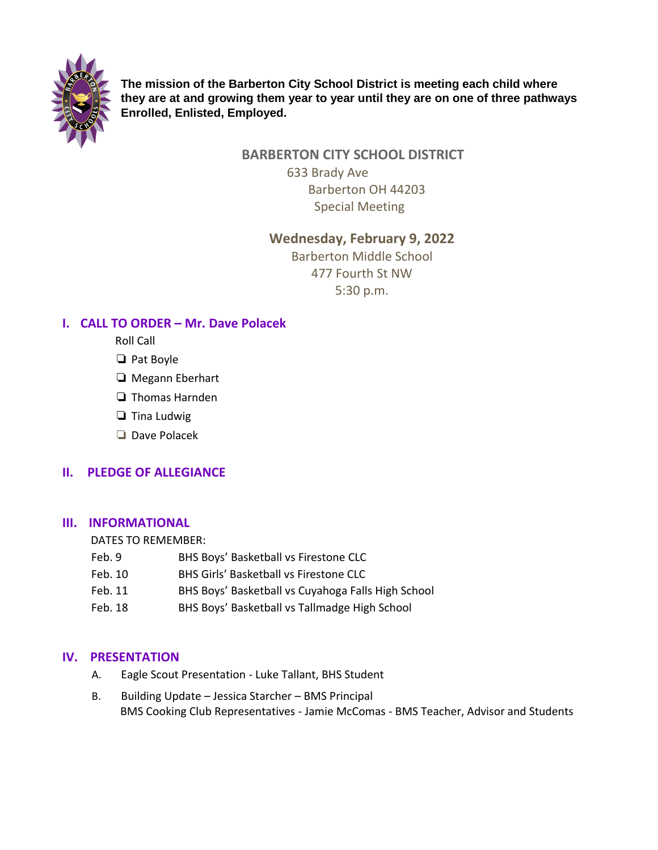

**The mission of the Barberton City School District is meeting each child where they are at and growing them year to year until they are on one of three pathways Enrolled, Enlisted, Employed.**

# **BARBERTON CITY SCHOOL DISTRICT**

633 Brady Ave Barberton OH 44203 Special Meeting

## **Wednesday, February 9, 2022**

Barberton Middle School 477 Fourth St NW 5:30 p.m.

## **I. CALL TO ORDER – Mr. Dave Polacek**

Roll Call

- ❏ Pat Boyle
- ❏ Megann Eberhart
- ❏ Thomas Harnden
- ❏ Tina Ludwig
- ❏ Dave Polacek

### **II. PLEDGE OF ALLEGIANCE**

#### **III. INFORMATIONAL**

DATES TO REMEMBER:

- Feb. 9 BHS Boys' Basketball vs Firestone CLC
- Feb. 10 BHS Girls' Basketball vs Firestone CLC
- Feb. 11 BHS Boys' Basketball vs Cuyahoga Falls High School
- Feb. 18 BHS Boys' Basketball vs Tallmadge High School

### **IV. PRESENTATION**

- A. Eagle Scout Presentation Luke Tallant, BHS Student
- B. Building Update Jessica Starcher BMS Principal BMS Cooking Club Representatives - Jamie McComas - BMS Teacher, Advisor and Students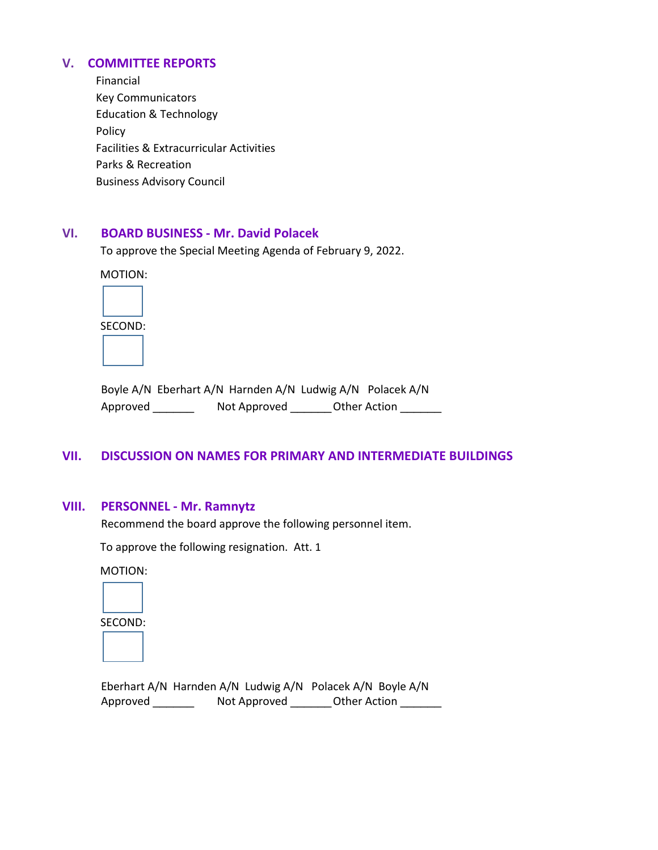### **V. COMMITTEE REPORTS**

Financial Key Communicators Education & Technology Policy Facilities & Extracurricular Activities Parks & Recreation Business Advisory Council

#### **VI. BOARD BUSINESS - Mr. David Polacek**

To approve the Special Meeting Agenda of February 9, 2022.

MOTION:



Boyle A/N Eberhart A/N Harnden A/N Ludwig A/N Polacek A/N Approved \_\_\_\_\_\_\_\_\_\_\_\_\_\_ Not Approved \_\_\_\_\_\_\_\_\_ Other Action \_\_\_\_\_\_\_\_

### **VII. DISCUSSION ON NAMES FOR PRIMARY AND INTERMEDIATE BUILDINGS**

#### **VIII. PERSONNEL - Mr. Ramnytz**

Recommend the board approve the following personnel item.

To approve the following resignation. Att. 1

MOTION:



|          | Eberhart A/N Harnden A/N Ludwig A/N Polacek A/N Boyle A/N |              |  |
|----------|-----------------------------------------------------------|--------------|--|
| Approved | Not Approved                                              | Other Action |  |